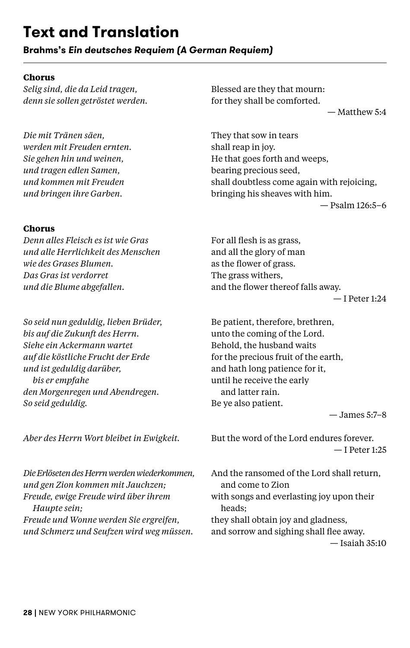# **Text and Translation**

**Brahms's** *Ein deutsches Requiem (A German Requiem)*

# **Chorus**

*Selig sind, die da Leid tragen, denn sie sollen getröstet werden.*

*Die mit Tränen säen, werden mit Freuden ernten. Sie gehen hin und weinen, und tragen edlen Samen, und kommen mit Freuden und bringen ihre Garben.*

## **Chorus**

*Denn alles Fleisch es ist wie Gras und alle Herrlichkeit des Menschen wie des Grases Blumen. Das Gras ist verdorret und die Blume abgefallen.*

*So seid nun geduldig, lieben Brüder, bis auf die Zukunft des Herrn. Siehe ein Ackermann wartet auf die köstliche Frucht der Erde und ist geduldig darüber, bis er empfahe den Morgenregen und Abendregen. So seid geduldig.*

*Aber des Herrn Wort bleibet in Ewigkeit.*

*Die Erlöseten des Herrn werden wiederkommen, und gen Zion kommen mit Jauchzen; Freude, ewige Freude wird über ihrem Haupte sein; Freude und Wonne werden Sie ergreifen, und Schmerz und Seufzen wird weg müssen.*

Blessed are they that mourn: for they shall be comforted.

— Matthew 5:4

They that sow in tears shall reap in joy. He that goes forth and weeps, bearing precious seed, shall doubtless come again with rejoicing, bringing his sheaves with him.

— Psalm 126:5–6

For all flesh is as grass, and all the glory of man as the flower of grass. The grass withers, and the flower thereof falls away.

— I Peter 1:24

Be patient, therefore, brethren, unto the coming of the Lord. Behold, the husband waits for the precious fruit of the earth, and hath long patience for it, until he receive the early and latter rain. Be ye also patient.

— James 5:7–8

But the word of the Lord endures forever. — I Peter 1:25

And the ransomed of the Lord shall return, and come to Zion with songs and everlasting joy upon their heads; they shall obtain joy and gladness, and sorrow and sighing shall flee away. — Isaiah 35:10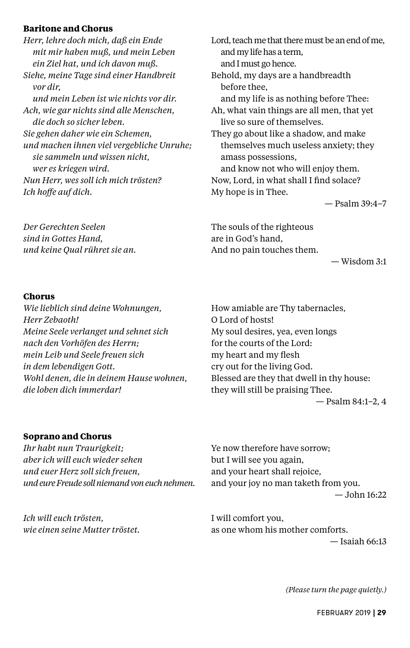## **Baritone and Chorus**

*Herr, lehre doch mich, daß ein Ende mit mir haben muß, und mein Leben ein Ziel hat, und ich davon muß. Siehe, meine Tage sind einer Handbreit vor dir, und mein Leben ist wie nichts vor dir. Ach, wie gar nichts sind alle Menschen, die doch so sicher leben. Sie gehen daher wie ein Schemen, und machen ihnen viel vergebliche Unruhe; sie sammeln und wissen nicht, wer es kriegen wird. Nun Herr, wes soll ich mich trösten? Ich hoffe auf dich.*

*Der Gerechten Seelen sind in Gottes Hand, und keine Qual rühret sie an.* Lord, teach me that there must be an end of me, and my life has a term, and I must go hence. Behold, my days are a handbreadth before thee, and my life is as nothing before Thee: Ah, what vain things are all men, that yet live so sure of themselves. They go about like a shadow, and make themselves much useless anxiety; they amass possessions, and know not who will enjoy them. Now, Lord, in what shall I find solace? My hope is in Thee.

— Psalm 39:4–7

The souls of the righteous are in God's hand, And no pain touches them.

— Wisdom 3:1

#### **Chorus**

*Wie lieblich sind deine Wohnungen, Herr Zebaoth! Meine Seele verlanget und sehnet sich nach den Vorhöfen des Herrn; mein Leib und Seele freuen sich in dem lebendigen Gott. Wohl denen, die in deinem Hause wohnen, die loben dich immerdar!*

How amiable are Thy tabernacles, O Lord of hosts! My soul desires, yea, even longs for the courts of the Lord: my heart and my flesh cry out for the living God. Blessed are they that dwell in thy house: they will still be praising Thee. — Psalm 84:1–2, 4

## **Soprano and Chorus**

*Ihr habt nun Traurigkeit; aber ich will euch wieder sehen und euer Herz soll sich freuen, und eure Freude soll niemand von euch nehmen.* Ye now therefore have sorrow; but I will see you again, and your heart shall rejoice, and your joy no man taketh from you.  $-$  John  $16:22$ 

*Ich will euch trösten, wie einen seine Mutter tröstet.* I will comfort you, as one whom his mother comforts.  $-$ Isaiah 66 $\cdot$ 13